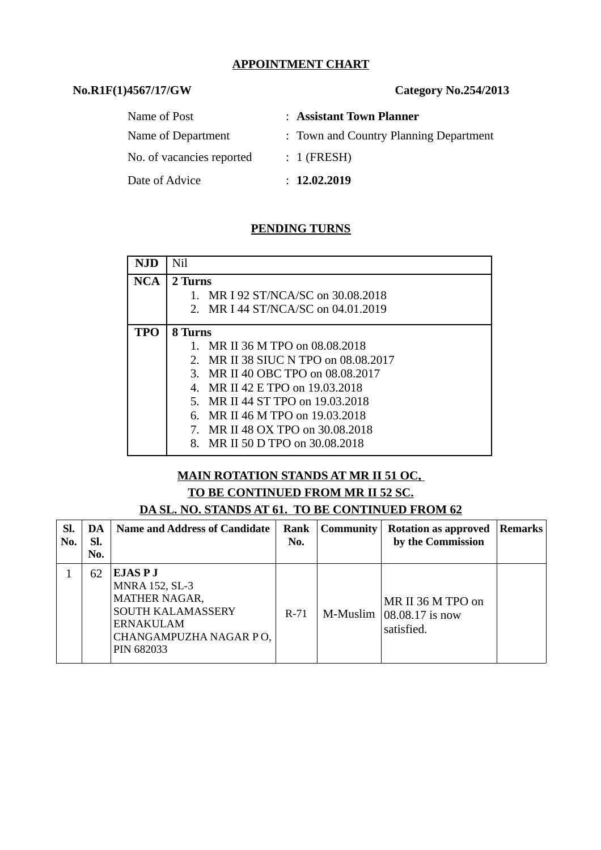#### **APPOINTMENT CHART**

## **No.R1F(1)4567/17/GW Category No.254/2013**

| Name of Post              | : Assistant Town Planner               |
|---------------------------|----------------------------------------|
| Name of Department        | : Town and Country Planning Department |
| No. of vacancies reported | $: 1$ (FRESH)                          |
| Date of Advice            | : 12.02.2019                           |

## **PENDING TURNS**

| NJD        | Nil                                         |
|------------|---------------------------------------------|
| <b>NCA</b> | 2 Turns                                     |
|            | MR I 92 ST/NCA/SC on 30.08.2018             |
|            | 2. MR I 44 ST/NCA/SC on 04.01.2019          |
| TPO        | 8 Turns                                     |
|            | MR II 36 M TPO on 08.08.2018                |
|            | MR II 38 SIUC N TPO on 08.08.2017<br>2.     |
|            | 3. MR II 40 OBC TPO on 08,08,2017           |
|            | MR II 42 E TPO on 19.03.2018<br>$4_{\cdot}$ |
|            | MR II 44 ST TPO on 19.03.2018<br>5.         |
|            | 6. MR II 46 M TPO on 19.03.2018             |
|            | 7. MR II 48 OX TPO on 30.08.2018            |
|            | MR II 50 D TPO on 30.08.2018<br>8.          |

#### **MAIN ROTATION STANDS AT MR II 51 OC, TO BE CONTINUED FROM MR II 52 SC.**

**DA SL. NO. STANDS AT 61. TO BE CONTINUED FROM 62**

| SI.<br>No. | DA<br>SI.<br>No. | <b>Name and Address of Candidate</b>                                                                                         | Rank<br>No. | <b>Community</b> | <b>Rotation as approved</b><br>by the Commission   | Remarks |
|------------|------------------|------------------------------------------------------------------------------------------------------------------------------|-------------|------------------|----------------------------------------------------|---------|
|            | 62               | EJAS P J<br><b>MNRA 152, SL-3</b><br>MATHER NAGAR,<br>SOUTH KALAMASSERY<br>ERNAKULAM<br>CHANGAMPUZHA NAGAR PO,<br>PIN 682033 | $R-71$      | M-Muslim         | MR II 36 M TPO on<br>08.08.17 is now<br>satisfied. |         |